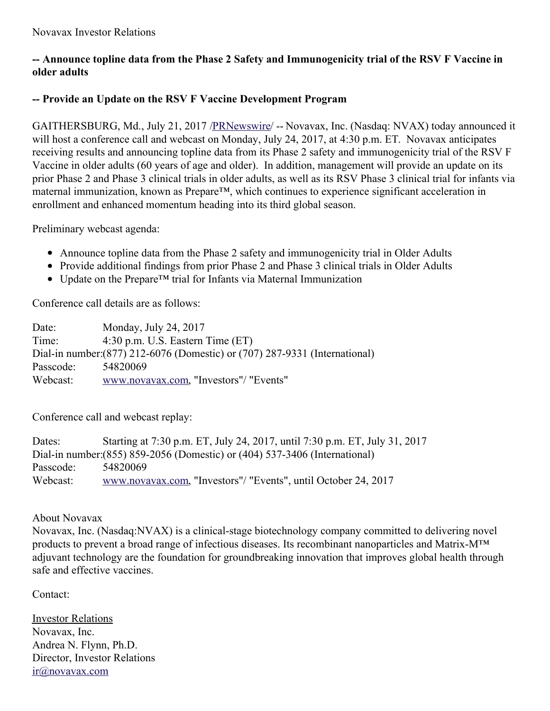## **-- Announce topline data from the Phase 2 Safety and Immunogenicity trial of the RSV F Vaccine in older adults**

## **-- Provide an Update on the RSV F Vaccine Development Program**

GAITHERSBURG, Md., July 21, 2017 [/PRNewswire](http://www.prnewswire.com/)/ -- Novavax, Inc. (Nasdaq: NVAX) today announced it will host a conference call and webcast on Monday, July 24, 2017, at 4:30 p.m. ET. Novavax anticipates receiving results and announcing topline data from its Phase 2 safety and immunogenicity trial of the RSV F Vaccine in older adults (60 years of age and older). In addition, management will provide an update on its prior Phase 2 and Phase 3 clinical trials in older adults, as well as its RSV Phase 3 clinical trial for infants via maternal immunization, known as Prepare™, which continues to experience significant acceleration in enrollment and enhanced momentum heading into its third global season.

Preliminary webcast agenda:

- Announce topline data from the Phase 2 safety and immunogenicity trial in Older Adults
- Provide additional findings from prior Phase 2 and Phase 3 clinical trials in Older Adults
- Update on the Prepare™ trial for Infants via Maternal Immunization

Conference call details are as follows:

Date: Monday, July 24, 2017 Time: 4:30 p.m. U.S. Eastern Time (ET) Dial-in number:(877) 212-6076 (Domestic) or (707) 287-9331 (International) Passcode: 54820069 Webcast: [www.novavax.com](http://www.novavax.com/), "Investors"/ "Events"

Conference call and webcast replay:

Dates: Starting at 7:30 p.m. ET, July 24, 2017, until 7:30 p.m. ET, July 31, 2017 Dial-in number:(855) 859-2056 (Domestic) or (404) 537-3406 (International) Passcode: 54820069 Webcast: [www.novavax.com](http://www.novavax.com/), "Investors"/ "Events", until October 24, 2017

About Novavax

Novavax, Inc. (Nasdaq:NVAX) is a clinical-stage biotechnology company committed to delivering novel products to prevent a broad range of infectious diseases. Its recombinant nanoparticles and Matrix-M™ adjuvant technology are the foundation for groundbreaking innovation that improves global health through safe and effective vaccines.

Contact:

Investor Relations Novavax, Inc. Andrea N. Flynn, Ph.D. Director, Investor Relations [ir@novavax.com](mailto:ir@novavax.com)